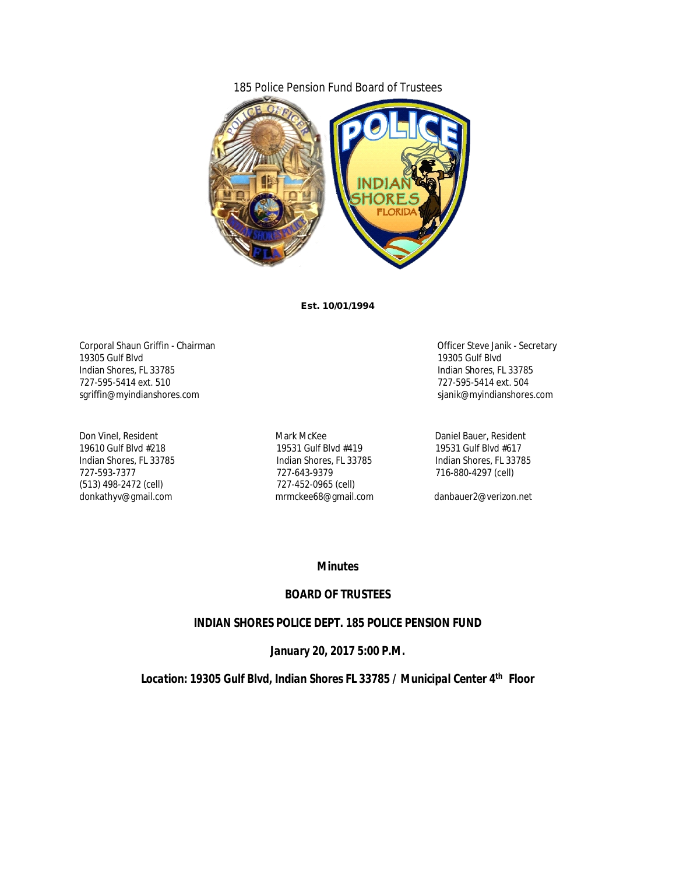### 185 Police Pension Fund Board of Trustees



**Est. 10/01/1994**

Corporal Shaun Griffin - Chairman Corporal Shaun Griffin - Chairman Corporal Shaun Griffin - Chairman Corporation Corporation Corporation Corporation Corporation Corporation Corporation Corporation Corporation Corporation 19305 Gulf Blvd 19305 Gulf Blvd Indian Shores, FL 33785 Indian Shores, FL 33785 727-595-5414 ext. 510 727-595-5414 ext. 504 sgriffin@myindianshores.com

(513) 498-2472 (cell) donkathyv@gmail.com mrmckee68@gmail.com danbauer2@verizon.net

Don Vinel, Resident 19610 End and Mark McKee Daniel Bauer, Resident 19610 Gulf Blvd #218 19531 Gulf Blvd #419 Indian Shores, FL 33785 Indian Shores, FL 33785 Indian Shores, FL 33785 727-643-9379<br>727-452-0965 (cell) 727-452-0965 (cell)

#### *Minutes*

### *BOARD OF TRUSTEES*

### *INDIAN SHORES POLICE DEPT. 185 POLICE PENSION FUND*

### *January 20, 2017 5:00 P.M.*

*Location: 19305 Gulf Blvd, Indian Shores FL 33785 / Municipal Center 4th Floor*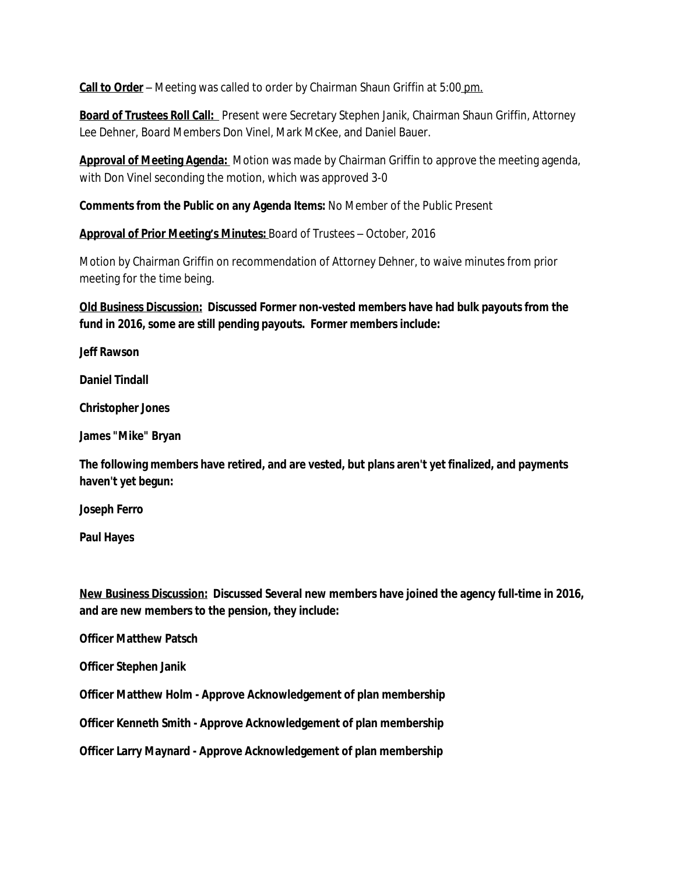**Call to Order** – Meeting was called to order by Chairman Shaun Griffin at 5:00 pm.

**Board of Trustees Roll Call:** Present were Secretary Stephen Janik, Chairman Shaun Griffin, Attorney Lee Dehner, Board Members Don Vinel, Mark McKee, and Daniel Bauer.

**Approval of Meeting Agenda:** Motion was made by Chairman Griffin to approve the meeting agenda, with Don Vinel seconding the motion, which was approved 3-0

**Comments from the Public on any Agenda Items:** No Member of the Public Present

**Approval of Prior Meeting's Minutes:** Board of Trustees – October, 2016

Motion by Chairman Griffin on recommendation of Attorney Dehner, to waive minutes from prior meeting for the time being.

**Old Business Discussion: Discussed Former non-vested members have had bulk payouts from the fund in 2016, some are still pending payouts. Former members include:**

**Jeff Rawson**

**Daniel Tindall**

**Christopher Jones**

**James "Mike" Bryan**

**The following members have retired, and are vested, but plans aren't yet finalized, and payments haven't yet begun:**

**Joseph Ferro**

**Paul Hayes**

**New Business Discussion: Discussed Several new members have joined the agency full-time in 2016, and are new members to the pension, they include:**

**Officer Matthew Patsch**

**Officer Stephen Janik**

**Officer Matthew Holm - Approve Acknowledgement of plan membership**

**Officer Kenneth Smith - Approve Acknowledgement of plan membership**

**Officer Larry Maynard - Approve Acknowledgement of plan membership**